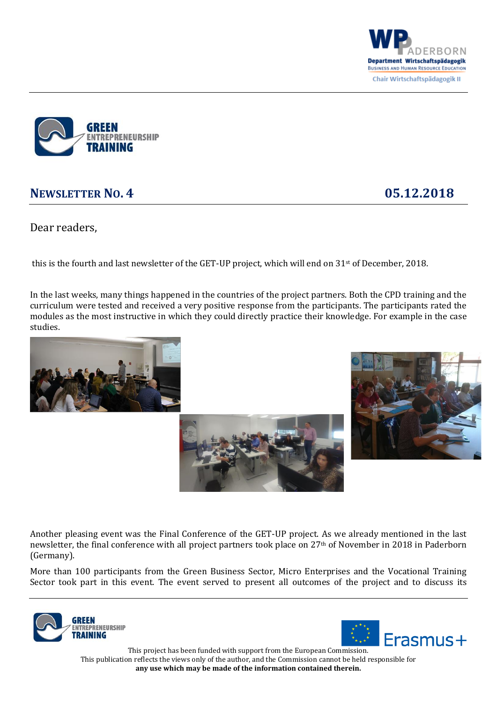



## **NEWSLETTER NO. 4 05.12.2018**

Dear readers,

this is the fourth and last newsletter of the GET-UP project, which will end on 31st of December, 2018.

In the last weeks, many things happened in the countries of the project partners. Both the CPD training and the curriculum were tested and received a very positive response from the participants. The participants rated the modules as the most instructive in which they could directly practice their knowledge. For example in the case studies.







Another pleasing event was the Final Conference of the GET-UP project. As we already mentioned in the last newsletter, the final conference with all project partners took place on 27th of November in 2018 in Paderborn (Germany).

More than 100 participants from the Green Business Sector, Micro Enterprises and the Vocational Training Sector took part in this event. The event served to present all outcomes of the project and to discuss its





This project has been funded with support from the European Commission. This publication reflects the views only of the author, and the Commission cannot be held responsible for **any use which may be made of the information contained therein.**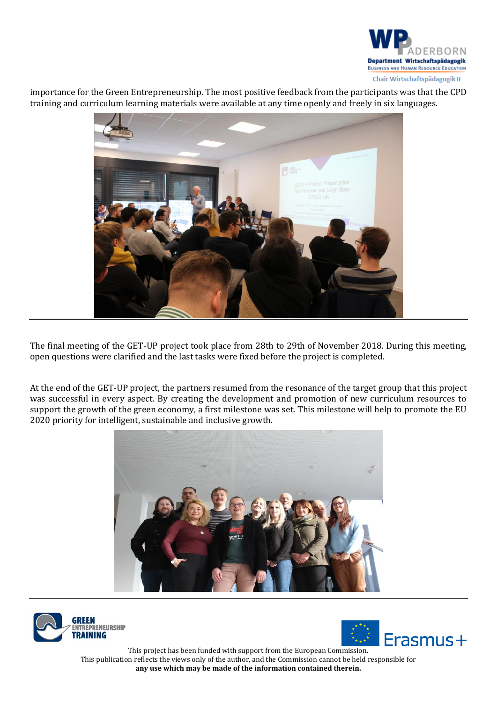

importance for the Green Entrepreneurship. The most positive feedback from the participants was that the CPD training and curriculum learning materials were available at any time openly and freely in six languages.



The final meeting of the GET-UP project took place from 28th to 29th of November 2018. During this meeting, open questions were clarified and the last tasks were fixed before the project is completed.

At the end of the GET-UP project, the partners resumed from the resonance of the target group that this project was successful in every aspect. By creating the development and promotion of new curriculum resources to support the growth of the green economy, a first milestone was set. This milestone will help to promote the EU 2020 priority for intelligent, sustainable and inclusive growth.







This project has been funded with support from the European Commission. This publication reflects the views only of the author, and the Commission cannot be held responsible for **any use which may be made of the information contained therein.**